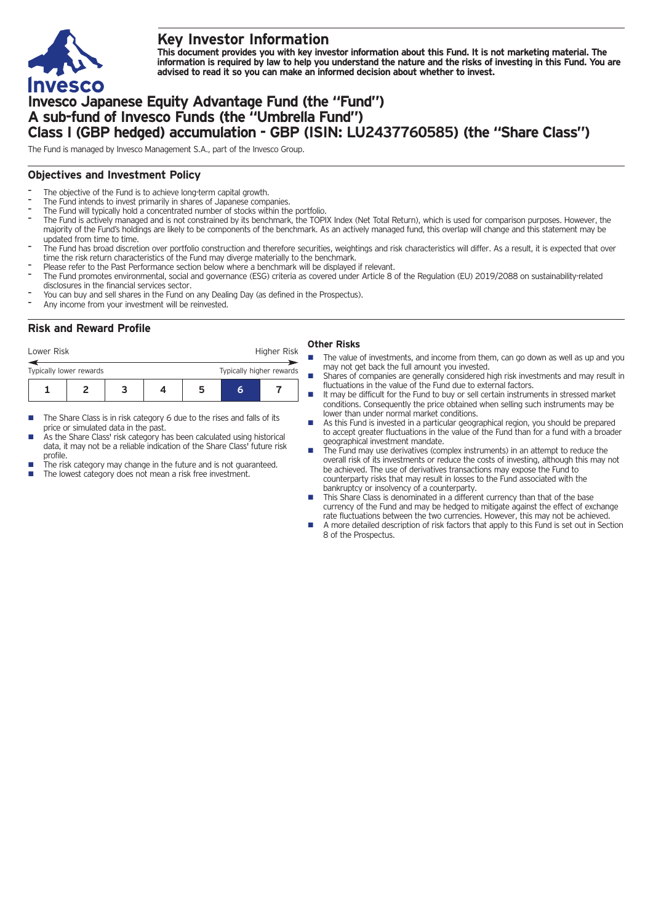

# **Key Investor Information**

This document provides you with key investor information about this Fund. It is not marketing material. The information is required by law to help you understand the nature and the risks of investing in this Fund. You are **advised to read it so you can make an informed decision about whether to invest.**

# **Invesco Japanese Equity Advantage Fund (the "Fund") A sub-fund of Invesco Funds (the "Umbrella Fund") Class I (GBP hedged) accumulation - GBP (ISIN: LU2437760585) (the "Share Class")**

The Fund is managed by Invesco Management S.A., part of the Invesco Group.

#### **Objectives and Investment Policy**

- The objective of the Fund is to achieve long-term capital growth.
- The Fund intends to invest primarily in shares of Japanese companies.
- The Fund will typically hold a concentrated number of stocks within the portfolio.
- The Fund is actively managed and is not constrained by its benchmark, the TOPIX Index (Net Total Return), which is used for comparison purposes. However, the majority of the Fund's holdings are likely to be components of the benchmark. As an actively managed fund, this overlap will change and this statement may be updated from time to time.
- The Fund has broad discretion over portfolio construction and therefore securities, weightings and risk characteristics will differ. As a result, it is expected that over time the risk return characteristics of the Fund may diverge materially to the benchmark.
- Please refer to the Past Performance section below where a benchmark will be displayed if relevant.
- The Fund promotes environmental, social and governance (ESG) criteria as covered under Article 8 of the Regulation (EU) 2019/2088 on sustainability-related disclosures in the financial services sector.
- You can buy and sell shares in the Fund on any Dealing Day (as defined in the Prospectus).
- Any income from your investment will be reinvested.

### **Risk and Reward Profile**

|    | <b>Other Ris</b> |  |
|----|------------------|--|
| ۲k |                  |  |

- **1234567** Lower Risk **Higher Risk** Higher Risk **Higher Risk 6** Typically lower rewards Typically higher rewards
- $\blacksquare$  The Share Class is in risk category 6 due to the rises and falls of its price or simulated data in the past.
- As the Share Class' risk category has been calculated using historical data, it may not be a reliable indication of the Share Class' future risk profile.
- The risk category may change in the future and is not guaranteed.
- The lowest category does not mean a risk free investment.

# **Other Risks**

- The value of investments, and income from them, can go down as well as up and you may not get back the full amount you invested.
- Shares of companies are generally considered high risk investments and may result in fluctuations in the value of the Fund due to external factors.
- $\blacksquare$  It may be difficult for the Fund to buy or sell certain instruments in stressed market conditions. Consequently the price obtained when selling such instruments may be lower than under normal market conditions.
- As this Fund is invested in a particular geographical region, you should be prepared to accept greater fluctuations in the value of the Fund than for a fund with a broader geographical investment mandate.
- The Fund may use derivatives (complex instruments) in an attempt to reduce the overall risk of its investments or reduce the costs of investing, although this may not be achieved. The use of derivatives transactions may expose the Fund to counterparty risks that may result in losses to the Fund associated with the bankruptcy or insolvency of a counterparty.
- This Share Class is denominated in a different currency than that of the base currency of the Fund and may be hedged to mitigate against the effect of exchange rate fluctuations between the two currencies. However, this may not be achieved.
- n A more detailed description of risk factors that apply to this Fund is set out in Section 8 of the Prospectus.